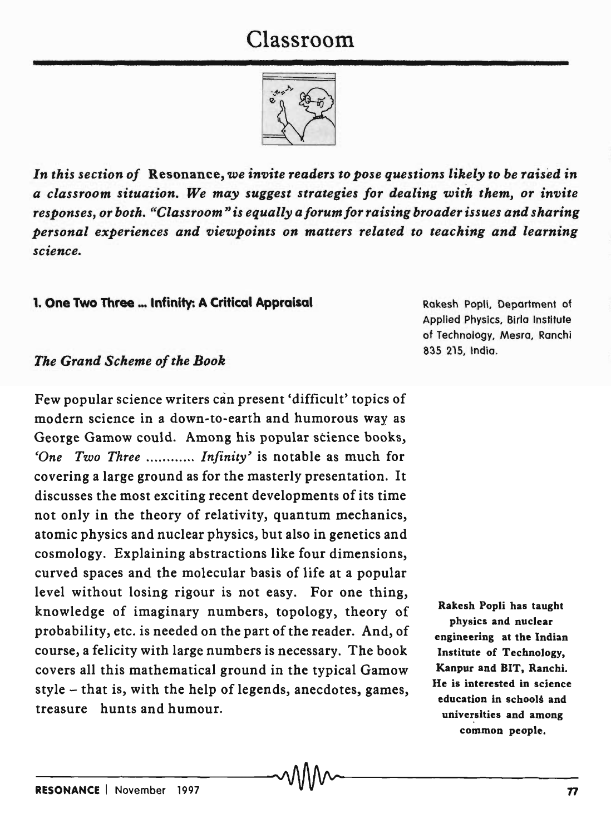# Classroom



In this section of **Resonance**, we invite readers to pose questions likely to be raised in a classroom situation. We may suggest strategies for dealing with them, or invite *responses, or both. "Classroom" is equally a forum for Taising broader issues and sharing personal experiences and viewpoints on matters related to teaching and learning science.* 

## 1. One Two Three ... Infinity: A Critical Appraisal

Rakesh Popli, Department of Applied Physics, Birla Institute of Technology, Mesra, Ranchi 835 215, India.

## *The Grand Scheme of the Book*

Few popular science writers can present 'difficult' topics of modern science in a down~to-earth and humorous way as George Gamow could. Among his popular science books, *'One Two Three* ............ *Infinity'* is notable as much for covering a large ground as for the masterly presentation. It discusses the most exciting recent developments of its time not only in the theory of relativity, quantum mechanics, atomic physics and nuclear physics, but also in genetics and cosmology. Explaining abstractions like four dimensions, curved spaces and the molecular basis of life at a popular level without losing rigour is not easy. For one thing, knowledge of imaginary numbers, topology, theory of probability, etc. is needed on the part of the reader. And, of course, a felicity with large numbers is necessary. The book covers all this mathematical ground in the typical Gamow style - that is, with the help of legends, anecdotes, games, treasure hunts and humour.

Rakesh Popli has taught physics and nuclear engineering at the Indian Institute of Technology, Kanpur and BIT, Ranchi. He is interested in science education in schools and universities and among common people.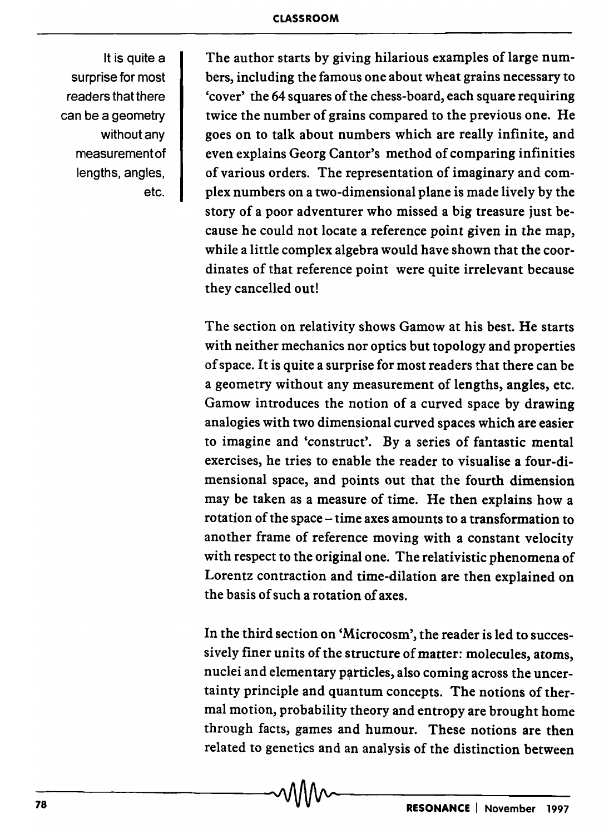#### CLASSROOM

It is quite a surprise for most readers that there can be a geometry without any measurement of lengths, angles, etc.

The author starts by giving hilarious examples of large numbers, including the famous one about wheat grains necessary to 'cover' the 64 squares of the chess-board, each square requiring twice the number of grains compared to the previous one. He goes on to talk about numbers which are really infinite, and even explains Georg Cantor's method of comparing infinities of various orders. The representation of imaginary and complex numbers on a two-dimensional plane is made lively by the story of a poor adventurer who missed a big treasure just because he could not locate a reference point given in the map, while a little complex algebra would have shown that the coordinates of that reference point were quite irrelevant because they cancelled out!

The section on relativity shows Gamow at his best. He starts with neither mechanics nor optics but topology and properties of space. It is quite a surprise for most readers that there can be a geometry without any measurement of lengths, angles, etc. Gamow introduces the notion of a curved space by drawing analogies with two dimensional curved spaces which are easier to imagine and 'construct'. By a series of fantastic mental exercises, he tries to enable the reader to visualise a four-dimensional space, and points out that the fourth dimension may be taken as a measure of time. He then explains how a rotation of the space - time axes amounts to a transformation to another frame of reference moving with a constant velocity with respect to the original one. The relativistic phenomena of Lorentz contraction and time-dilation are then explained on the basis of such a rotation of axes.

In the third section on 'Microcosm', the reader is led to successively finer units of the structure of matter: molecules, atoms, nuclei and elementary particles, also coming across the uncertainty principle and quantum concepts. The notions of thermal motion, probability theory and entropy are brought home through facts, games and humour. These notions are then related to genetics and an analysis of the distinction between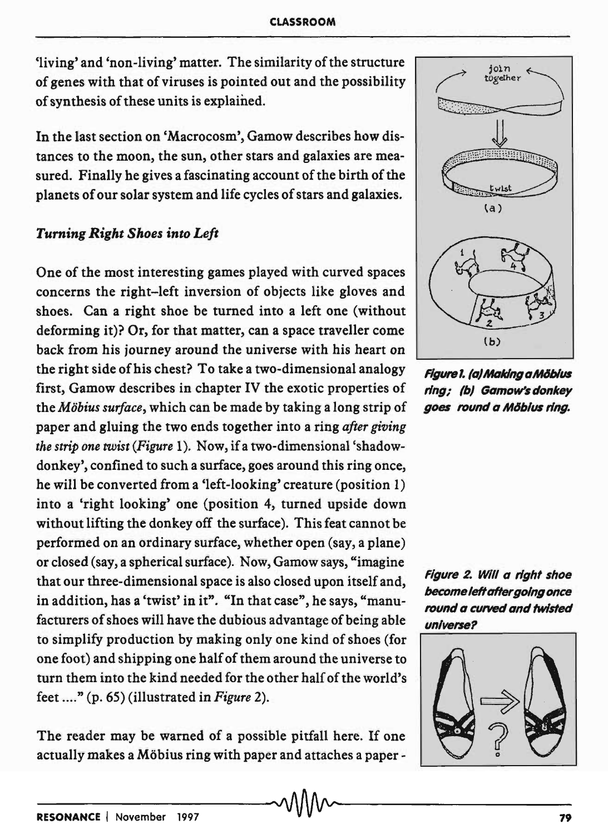'living' and 'non-living' matter. The similarity of the structure of genes with that of viruses is pointed out and the possibility of synthesis of these units is explained.

In the last section on 'Macrocosm', Gamow describes how distances to the moon, the sun, other stars and galaxies are measured. Finally he gives a fascinating account of the birth of the planets of our solar system and life cycles of stars and galaxies.

# *Turning Right Shoes into Left*

One of the most interesting games played with curved spaces concerns the right-left inversion of objects like gloves and shoes. Can a right shoe be turned into a left one (without deforming it)? Or, for that matter, can a space traveller come back from his journey around the universe with his heart on the right side of his chest? To take a two-dimensional analogy first, Gamow describes in chapter IV the exotic properties of the *Mobius surface,* which can be made by taking a long strip of paper and gluing the two ends together into a ring *after giving the strip one twist (Figure* 1). Now, if a two-dimensional 'shadowdonkey', confined to such a surface, goes around this ring once, he will be converted from a 'left-looking' creature (position 1) into a 'right looking' one (position 4, turned upside down without lifting the donkey off the surface). This feat cannot be performed on an ordinary surface, whether open (say, a plane) or closed (say, a spherical surface). Now, Gamow says, "imagine that our three-dimensional space is also closed upon itself and, in addition, has a 'twist' in it". "In that case", he says, "manufacturers of shoes will have the dubious advantage of being able to simplify production by making only one kind of shoes (for one foot) and shipping one half of them around the universe to turn them into the kind needed for the other half of the world's feet .... " (p. 65) (illustrated in *Figure* 2).

The reader may be warned of a possible pitfall here. If one actually makes a Mobius ring with paper and attaches a paper -



Figure 1. (a) Making a Möbius ring; (b) Gamow's donkey goes round a M6blus ring.

Figure 2. Will a right shoe become left after going once round a curved and *twisted*  universe?

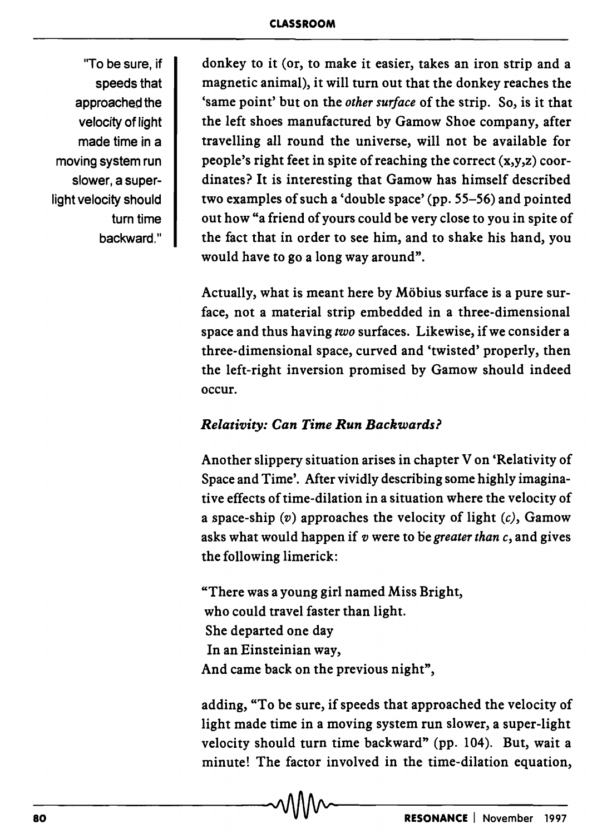"To be sure, if speeds that approached the velocity of light made time in a moving system run slower, a superlight velocity should turn time backward."

donkey to it (or, to make it easier, takes an iron strip and a magnetic animal), it will turn out that the donkey reaches the 'same point' but on the *other surface* of the strip. So, is it that the left shoes manufactured by Gamow Shoe company, after travelling all round the universe, will not be available for people's right feet in spite of reaching the correct  $(x,y,z)$  coordinates? It is interesting that Gamow has himself described two examples of such a 'double space' (pp. 55-56) and pointed out how "a friend of yours could be very close to you in spite of the fact that in order to see him, and to shake his hand, you would have to go a long way around".

Actually, what is meant here by Mobius surface is a pure surface, not a material strip embedded in a three-dimensional space and thus having *two* surfaces. Likewise, if we consider a three-dimensional space, curved and 'twisted' properly, then the left-right inversion promised by Gamow should indeed occur.

# *Relativity: Can Time Run Backwards?*

Another slippery situation arises in chapter V on 'Relativity of Space and Time'. After vividly describing some highly imaginative effects of time-dilation in a situation where the velocity of a space-ship  $(v)$  approaches the velocity of light  $(c)$ , Gamow asks what would happen if *v* were to be *greater than* c, and gives the following limerick:

"There was a young girl named Miss Bright, who could travel faster than light. She departed one day In an Einsteinian way, And came back on the previous night",

adding, "To be sure, if speeds that approached the velocity of light made time in a moving system run slower, a super-light velocity should turn time backward" (pp. 104). But, wait a minute! The factor involved in the time-dilation equation,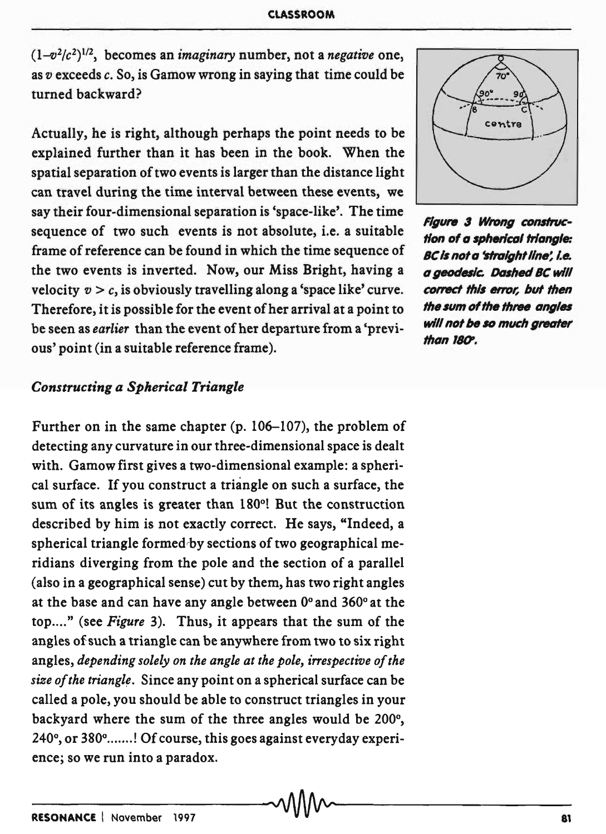$(1-v^2/c^2)^{1/2}$ , becomes an *imaginary* number, not a *negative* one, as *v* exceeds c. So, is Gamow wrong in saying that time could be turned backward?

Actually, he is right, although perhaps the point needs to be explained further than it has been in the book. When the spatial separation of two events is larger than the distance light can travel during the time interval between these events, we say their four-dimensional separation is 'space-like'. The time sequence of two such events is not absolute, i.e. a suitable frame of reference can be found in which the time sequence of the two events is inverted. Now, our Miss Bright, having a velocity  $v > c$ , is obviously travelling along a 'space like' curve. Therefore, it is possible for the event of her arrival at a point to be seen as *earlier* than the event of her departure from a 'previous' point (in a suitable reference frame).



**Figure 3 Wrong construc**tion of a spherical triangle: BC is not a 'straight line', i.e. a geodesic. Dashed BC will correct this error, but then the sum of the three angles will not be so much greater than *180*<sup>.</sup>

## *Constructing a Spherical Triangle*

Further on in the same chapter (p. 106-107), the problem of detecting any curvature in our three-dimensional space is dealt with. Gamow first gives a two-dimensional example: a spherical surface. If you construct a triangle on such a surface, the sum of its angles is greater than 180°! But the construction described by him is not exactly correct. He says, "Indeed, a spherical triangle formed by sections of two geographical meridians diverging from the pole and the section of a parallel (also in a geographical sense) cut by them, has two right angles at the base and can have any angle between 0° and 360° at the top .... " (see *Figure* 3). Thus, it appears that the sum of the angles of such a triangle can be anywhere from two to six right angles, *depending solely on the angle at the pole, irrespective of the size of the triangle*. Since any point on a spherical surface can be called a pole, you should be able to construct triangles in your backyard where the sum of the three angles would be 200°, 240°, or 380° ....... ! Of course, this goes against everyday experience; so we run into a paradox.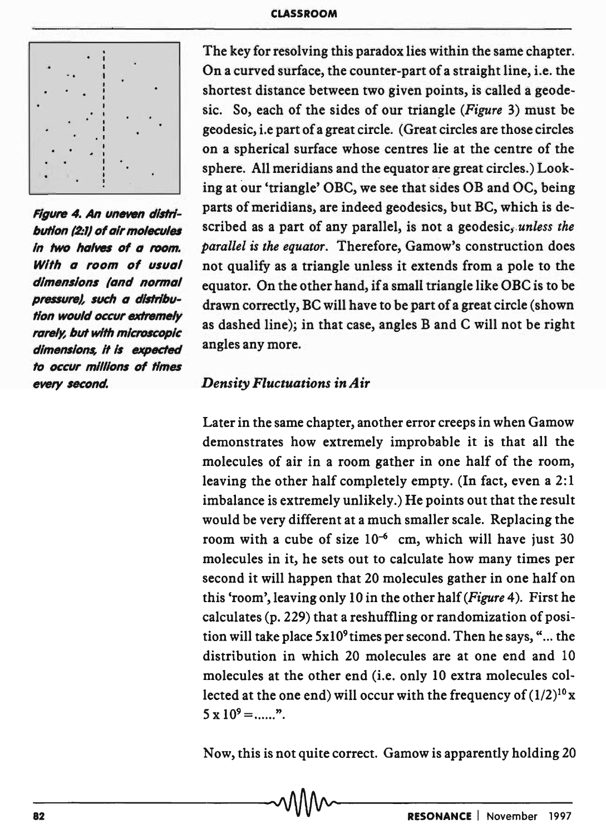

Figure 4. An uneven distribution (2:1) of air molecules in two halves of a room. With a room of usual dimensions (and normal pressure), such a distribution would occur extremely rarely, but with microscopic dimensions, it is expected to occur millions of times every second.

The key for resolving this paradox lies within the same chapter. On a curved surface, the counter-part of a straight line, i.e. the shortest distance between two given points, is called a geodesic. So, each of the sides of our triangle *(Figure* 3) must be geodesic, i.e part of a great circle. (Great circles are those circles on a spherical surface whose centres lie at the centre of the sphere. All meridians and the equator are great circles.) Looking at our 'triangle' OBC, we see that sides OB and OC, being parts of meridians, are indeed geodesics, but BC, which is described as a part of any parallel, is not a geodesic, unless the *parallel is the equator.* Therefore, Gamow's construction does not qualify as a triangle unless it extends from a pole to the equator. On the other hand, if a small triangle like OBC is to be drawn correctly, BC will have to be part of a great circle (shown as dashed line); in that case, angles Band C will not be right angles any more.

#### *Density Fluctuations in Air*

Later in the same chapter, another error creeps in when Gamow demonstrates how extremely improbable it is that all the molecules of air in a room gather in one half of the room, leaving the other half completely empty. (In fact, even a 2:1 imbalance is extremely unlikely.) He points out that the result would be very different at a much smaller scale. Replacing the room with a cube of size  $10^{-6}$  cm, which will have just 30 molecules in it, he sets out to calculate how many times per second it will happen that 20 molecules gather in one half on this 'room', leaving only lOin the other half *(Figure* 4). First he calculates (p. 229) that a reshuffling or randomization of position will take place  $5x10^9$  times per second. Then he says, "... the distribution in which 20 molecules are at one end and 10 molecules at the other end (i.e. only 10 extra molecules collected at the one end) will occur with the frequency of  $(1/2)^{10}x$  $5 \times 10^{9} =$ ......".

Now, this is not quite correct. Gamow is apparently holding 20